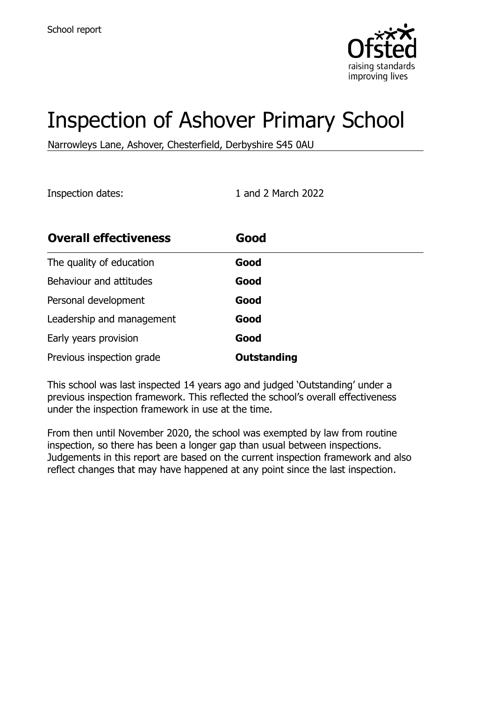

# Inspection of Ashover Primary School

Narrowleys Lane, Ashover, Chesterfield, Derbyshire S45 0AU

Inspection dates: 1 and 2 March 2022

| <b>Overall effectiveness</b> | Good               |
|------------------------------|--------------------|
| The quality of education     | Good               |
| Behaviour and attitudes      | Good               |
| Personal development         | Good               |
| Leadership and management    | Good               |
| Early years provision        | Good               |
| Previous inspection grade    | <b>Outstanding</b> |

This school was last inspected 14 years ago and judged 'Outstanding' under a previous inspection framework. This reflected the school's overall effectiveness under the inspection framework in use at the time.

From then until November 2020, the school was exempted by law from routine inspection, so there has been a longer gap than usual between inspections. Judgements in this report are based on the current inspection framework and also reflect changes that may have happened at any point since the last inspection.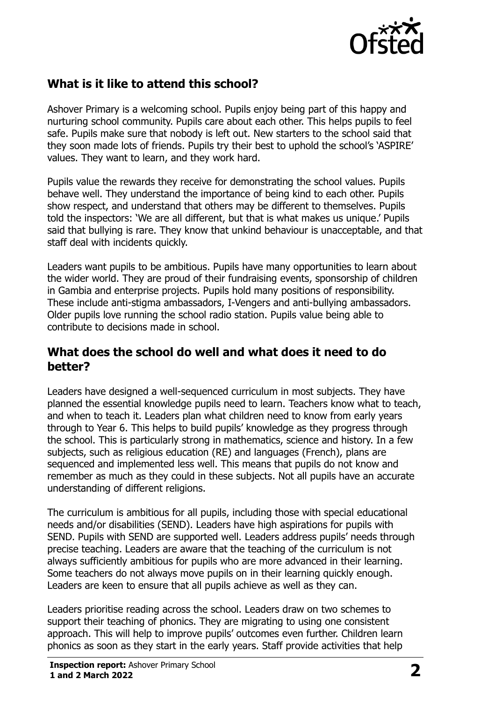

#### **What is it like to attend this school?**

Ashover Primary is a welcoming school. Pupils enjoy being part of this happy and nurturing school community. Pupils care about each other. This helps pupils to feel safe. Pupils make sure that nobody is left out. New starters to the school said that they soon made lots of friends. Pupils try their best to uphold the school's 'ASPIRE' values. They want to learn, and they work hard.

Pupils value the rewards they receive for demonstrating the school values. Pupils behave well. They understand the importance of being kind to each other. Pupils show respect, and understand that others may be different to themselves. Pupils told the inspectors: 'We are all different, but that is what makes us unique.' Pupils said that bullying is rare. They know that unkind behaviour is unacceptable, and that staff deal with incidents quickly.

Leaders want pupils to be ambitious. Pupils have many opportunities to learn about the wider world. They are proud of their fundraising events, sponsorship of children in Gambia and enterprise projects. Pupils hold many positions of responsibility. These include anti-stigma ambassadors, I-Vengers and anti-bullying ambassadors. Older pupils love running the school radio station. Pupils value being able to contribute to decisions made in school.

#### **What does the school do well and what does it need to do better?**

Leaders have designed a well-sequenced curriculum in most subjects. They have planned the essential knowledge pupils need to learn. Teachers know what to teach, and when to teach it. Leaders plan what children need to know from early years through to Year 6. This helps to build pupils' knowledge as they progress through the school. This is particularly strong in mathematics, science and history. In a few subjects, such as religious education (RE) and languages (French), plans are sequenced and implemented less well. This means that pupils do not know and remember as much as they could in these subjects. Not all pupils have an accurate understanding of different religions.

The curriculum is ambitious for all pupils, including those with special educational needs and/or disabilities (SEND). Leaders have high aspirations for pupils with SEND. Pupils with SEND are supported well. Leaders address pupils' needs through precise teaching. Leaders are aware that the teaching of the curriculum is not always sufficiently ambitious for pupils who are more advanced in their learning. Some teachers do not always move pupils on in their learning quickly enough. Leaders are keen to ensure that all pupils achieve as well as they can.

Leaders prioritise reading across the school. Leaders draw on two schemes to support their teaching of phonics. They are migrating to using one consistent approach. This will help to improve pupils' outcomes even further. Children learn phonics as soon as they start in the early years. Staff provide activities that help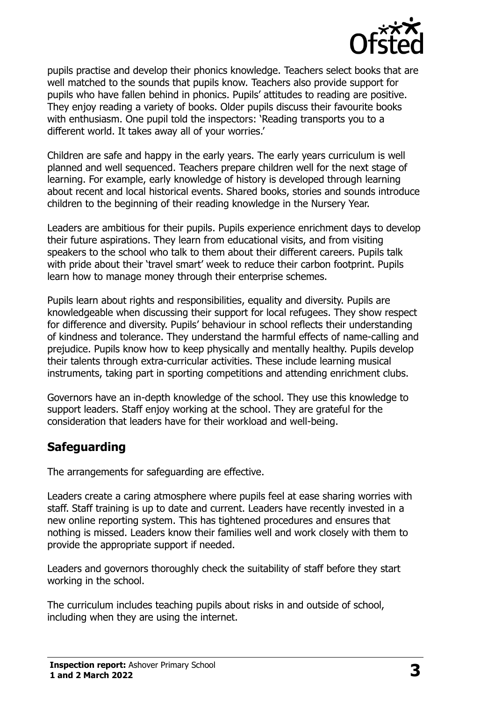

pupils practise and develop their phonics knowledge. Teachers select books that are well matched to the sounds that pupils know. Teachers also provide support for pupils who have fallen behind in phonics. Pupils' attitudes to reading are positive. They enjoy reading a variety of books. Older pupils discuss their favourite books with enthusiasm. One pupil told the inspectors: 'Reading transports you to a different world. It takes away all of your worries.'

Children are safe and happy in the early years. The early years curriculum is well planned and well sequenced. Teachers prepare children well for the next stage of learning. For example, early knowledge of history is developed through learning about recent and local historical events. Shared books, stories and sounds introduce children to the beginning of their reading knowledge in the Nursery Year.

Leaders are ambitious for their pupils. Pupils experience enrichment days to develop their future aspirations. They learn from educational visits, and from visiting speakers to the school who talk to them about their different careers. Pupils talk with pride about their 'travel smart' week to reduce their carbon footprint. Pupils learn how to manage money through their enterprise schemes.

Pupils learn about rights and responsibilities, equality and diversity. Pupils are knowledgeable when discussing their support for local refugees. They show respect for difference and diversity. Pupils' behaviour in school reflects their understanding of kindness and tolerance. They understand the harmful effects of name-calling and prejudice. Pupils know how to keep physically and mentally healthy. Pupils develop their talents through extra-curricular activities. These include learning musical instruments, taking part in sporting competitions and attending enrichment clubs.

Governors have an in-depth knowledge of the school. They use this knowledge to support leaders. Staff enjoy working at the school. They are grateful for the consideration that leaders have for their workload and well-being.

# **Safeguarding**

The arrangements for safeguarding are effective.

Leaders create a caring atmosphere where pupils feel at ease sharing worries with staff. Staff training is up to date and current. Leaders have recently invested in a new online reporting system. This has tightened procedures and ensures that nothing is missed. Leaders know their families well and work closely with them to provide the appropriate support if needed.

Leaders and governors thoroughly check the suitability of staff before they start working in the school.

The curriculum includes teaching pupils about risks in and outside of school, including when they are using the internet.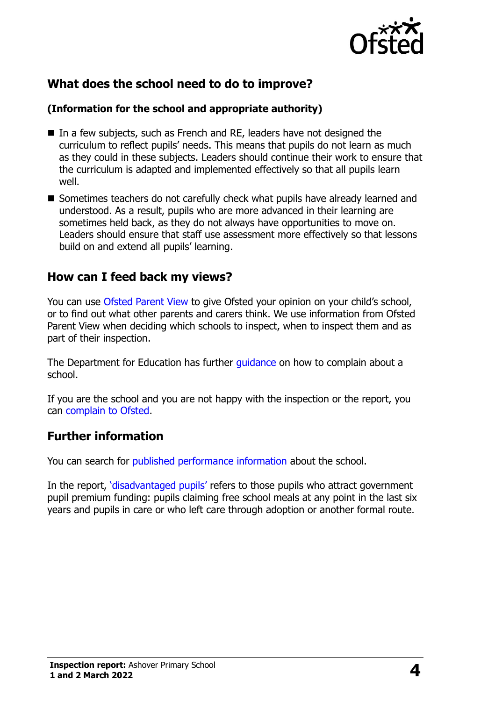

# **What does the school need to do to improve?**

#### **(Information for the school and appropriate authority)**

- In a few subjects, such as French and RE, leaders have not designed the curriculum to reflect pupils' needs. This means that pupils do not learn as much as they could in these subjects. Leaders should continue their work to ensure that the curriculum is adapted and implemented effectively so that all pupils learn well.
- Sometimes teachers do not carefully check what pupils have already learned and understood. As a result, pupils who are more advanced in their learning are sometimes held back, as they do not always have opportunities to move on. Leaders should ensure that staff use assessment more effectively so that lessons build on and extend all pupils' learning.

#### **How can I feed back my views?**

You can use [Ofsted Parent View](http://parentview.ofsted.gov.uk/) to give Ofsted your opinion on your child's school, or to find out what other parents and carers think. We use information from Ofsted Parent View when deciding which schools to inspect, when to inspect them and as part of their inspection.

The Department for Education has further quidance on how to complain about a school.

If you are the school and you are not happy with the inspection or the report, you can [complain to Ofsted.](http://www.gov.uk/complain-ofsted-report)

# **Further information**

You can search for [published performance information](http://www.compare-school-performance.service.gov.uk/) about the school.

In the report, '[disadvantaged pupils](http://www.gov.uk/guidance/pupil-premium-information-for-schools-and-alternative-provision-settings)' refers to those pupils who attract government pupil premium funding: pupils claiming free school meals at any point in the last six years and pupils in care or who left care through adoption or another formal route.

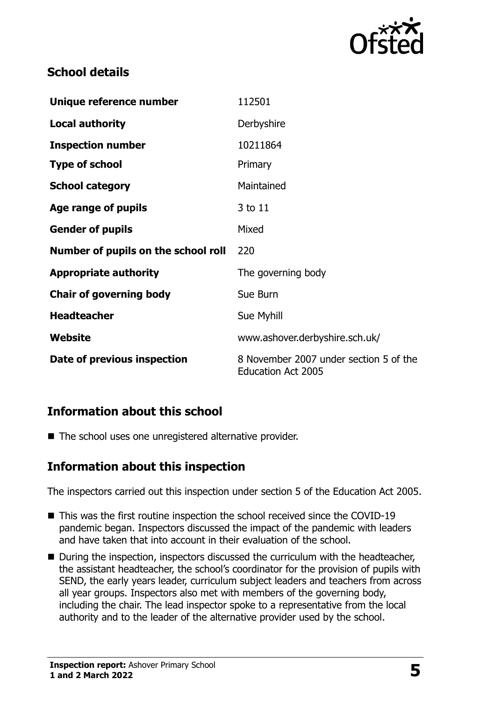

# **School details**

| Unique reference number             | 112501                                                              |
|-------------------------------------|---------------------------------------------------------------------|
| <b>Local authority</b>              | Derbyshire                                                          |
| <b>Inspection number</b>            | 10211864                                                            |
| <b>Type of school</b>               | Primary                                                             |
| <b>School category</b>              | Maintained                                                          |
| Age range of pupils                 | 3 to 11                                                             |
| <b>Gender of pupils</b>             | Mixed                                                               |
| Number of pupils on the school roll | 220                                                                 |
| <b>Appropriate authority</b>        | The governing body                                                  |
| <b>Chair of governing body</b>      | Sue Burn                                                            |
| <b>Headteacher</b>                  | Sue Myhill                                                          |
| Website                             | www.ashover.derbyshire.sch.uk/                                      |
| Date of previous inspection         | 8 November 2007 under section 5 of the<br><b>Education Act 2005</b> |

# **Information about this school**

■ The school uses one unregistered alternative provider.

# **Information about this inspection**

The inspectors carried out this inspection under section 5 of the Education Act 2005.

- This was the first routine inspection the school received since the COVID-19 pandemic began. Inspectors discussed the impact of the pandemic with leaders and have taken that into account in their evaluation of the school.
- During the inspection, inspectors discussed the curriculum with the headteacher, the assistant headteacher, the school's coordinator for the provision of pupils with SEND, the early years leader, curriculum subject leaders and teachers from across all year groups. Inspectors also met with members of the governing body, including the chair. The lead inspector spoke to a representative from the local authority and to the leader of the alternative provider used by the school.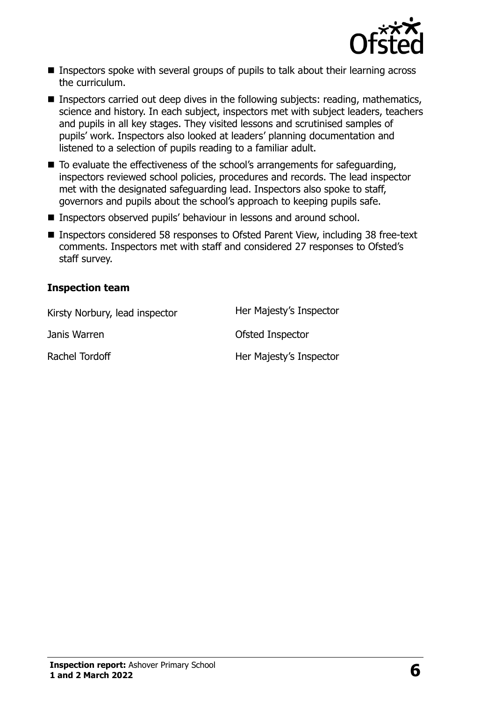

- Inspectors spoke with several groups of pupils to talk about their learning across the curriculum.
- **Inspectors carried out deep dives in the following subjects: reading, mathematics,** science and history. In each subject, inspectors met with subject leaders, teachers and pupils in all key stages. They visited lessons and scrutinised samples of pupils' work. Inspectors also looked at leaders' planning documentation and listened to a selection of pupils reading to a familiar adult.
- $\blacksquare$  To evaluate the effectiveness of the school's arrangements for safeguarding, inspectors reviewed school policies, procedures and records. The lead inspector met with the designated safeguarding lead. Inspectors also spoke to staff, governors and pupils about the school's approach to keeping pupils safe.
- Inspectors observed pupils' behaviour in lessons and around school.
- Inspectors considered 58 responses to Ofsted Parent View, including 38 free-text comments. Inspectors met with staff and considered 27 responses to Ofsted's staff survey.

#### **Inspection team**

| Kirsty Norbury, lead inspector | Her Majesty's Inspector |
|--------------------------------|-------------------------|
| Janis Warren                   | Ofsted Inspector        |
| Rachel Tordoff                 | Her Majesty's Inspector |